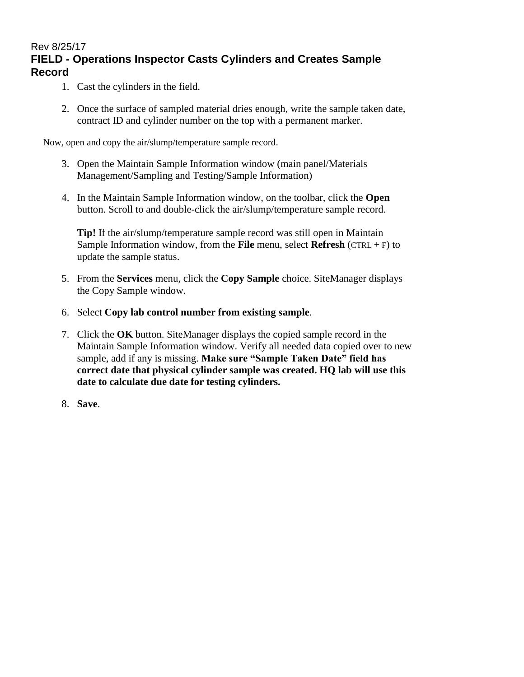### Rev 8/25/17 **FIELD - Operations Inspector Casts Cylinders and Creates Sample Record**

- 1. Cast the cylinders in the field.
- 2. Once the surface of sampled material dries enough, write the sample taken date, contract ID and cylinder number on the top with a permanent marker.

Now, open and copy the air/slump/temperature sample record.

- 3. Open the Maintain Sample Information window (main panel/Materials Management/Sampling and Testing/Sample Information)
- 4. In the Maintain Sample Information window, on the toolbar, click the **Open** button. Scroll to and double-click the air/slump/temperature sample record.

**Tip!** If the air/slump/temperature sample record was still open in Maintain Sample Information window, from the **File** menu, select **Refresh** (CTRL + F) to update the sample status.

- 5. From the **Services** menu, click the **Copy Sample** choice. SiteManager displays the Copy Sample window.
- 6. Select **Copy lab control number from existing sample**.
- 7. Click the **OK** button. SiteManager displays the copied sample record in the Maintain Sample Information window. Verify all needed data copied over to new sample, add if any is missing. **Make sure "Sample Taken Date" field has correct date that physical cylinder sample was created. HQ lab will use this date to calculate due date for testing cylinders.**
- 8. **Save**.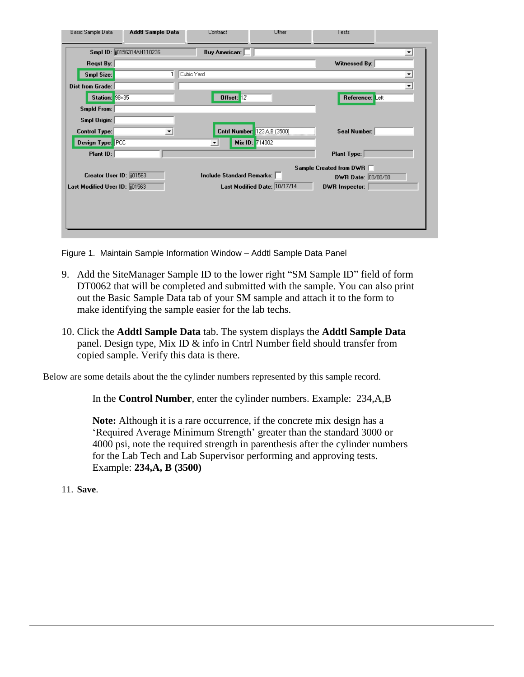| Basic Sample Data               | Addtl Sample Data        | <b>Contract</b>             | Uther                        | l ests                                        |   |
|---------------------------------|--------------------------|-----------------------------|------------------------------|-----------------------------------------------|---|
|                                 | Smpl ID: 0156314AH110236 | <b>Buy American:</b>        |                              |                                               | ப |
| <b>Regst By:</b>                |                          |                             |                              | Witnessed By:                                 |   |
| Smpl Size:                      | 1 <sup>1</sup>           | Cubic Yard                  |                              |                                               | ≖ |
| <b>Dist from Grade:</b>         |                          |                             |                              |                                               | ▾ |
| Station: 98+35                  |                          | Offset: 12'                 |                              | Reference: Left                               |   |
| <b>Smpld From:</b>              |                          |                             |                              |                                               |   |
| Smpl Origin:                    |                          |                             |                              |                                               |   |
| <b>Control Type:</b>            | ▼                        |                             | Cntrl Number: 123A,B (3500)  | Seal Number:                                  |   |
| Design Type: PCC                |                          | $\vert \mathbf{v} \vert$    | Mix ID: 714002               |                                               |   |
| Plant ID:                       |                          |                             |                              | <b>Plant Type:</b>                            |   |
|                                 |                          |                             |                              |                                               |   |
| Creator User ID: 001563         |                          | Include Standard Remarks: [ |                              | Sample Created from DWR<br>DWR Date: 00/00/00 |   |
| Last Modified User ID: [101563] |                          |                             | Last Modified Date: 10/17/14 | <b>DWR</b> Inspector:                         |   |
|                                 |                          |                             |                              |                                               |   |
|                                 |                          |                             |                              |                                               |   |
|                                 |                          |                             |                              |                                               |   |
|                                 |                          |                             |                              |                                               |   |

Figure 1. Maintain Sample Information Window – Addtl Sample Data Panel

- 9. Add the SiteManager Sample ID to the lower right "SM Sample ID" field of form DT0062 that will be completed and submitted with the sample. You can also print out the Basic Sample Data tab of your SM sample and attach it to the form to make identifying the sample easier for the lab techs.
- 10. Click the **Addtl Sample Data** tab. The system displays the **Addtl Sample Data** panel. Design type, Mix ID & info in Cntrl Number field should transfer from copied sample. Verify this data is there.

Below are some details about the the cylinder numbers represented by this sample record.

In the **Control Number**, enter the cylinder numbers. Example: 234,A,B

**Note:** Although it is a rare occurrence, if the concrete mix design has a 'Required Average Minimum Strength' greater than the standard 3000 or 4000 psi, note the required strength in parenthesis after the cylinder numbers for the Lab Tech and Lab Supervisor performing and approving tests. Example: **234,A, B (3500)**

11. **Save**.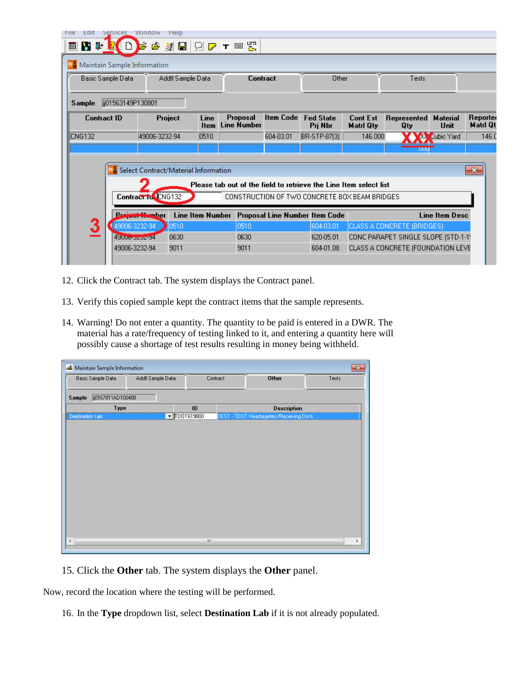| File<br>Edit<br>Services                                          |                                                                     | Window                | Help             |                     |                                |                  |                                       |                                     |                                     |                            |                      |
|-------------------------------------------------------------------|---------------------------------------------------------------------|-----------------------|------------------|---------------------|--------------------------------|------------------|---------------------------------------|-------------------------------------|-------------------------------------|----------------------------|----------------------|
| <b>N</b> the B<br>▥                                               |                                                                     |                       |                  |                     | <b>BETQDFES</b>                |                  |                                       |                                     |                                     |                            |                      |
| Maintain Sample Information                                       |                                                                     |                       |                  |                     |                                |                  |                                       |                                     |                                     |                            |                      |
|                                                                   | Basic Sample Data<br>Addtl Sample Data                              |                       | Contract         |                     | Other                          |                  | Tests                                 |                                     |                                     |                            |                      |
| ji01563149P130801<br>Sample                                       |                                                                     |                       |                  |                     |                                |                  |                                       |                                     |                                     |                            |                      |
| <b>Contract ID</b>                                                |                                                                     | Project               |                  | Line<br><b>Item</b> | Proposal<br><b>Line Number</b> | <b>Item Code</b> | <b>Fed State</b><br>Prj Nbr           | <b>Cont Est</b><br><b>Matri Qty</b> | Represented<br>Qty                  | <b>Material</b><br>Unit    | Reporter<br>Matri Qt |
| <b>CNG132</b>                                                     |                                                                     | 49006-3232-94         |                  | 0510                |                                | 604-03.01        | BR-STP-87(3)                          | 146.000                             |                                     | JO <sup>N</sup> Cubic Yard | 146.0                |
|                                                                   |                                                                     |                       |                  |                     |                                |                  |                                       |                                     | UUU                                 |                            |                      |
|                                                                   | Select Contract/Material Information<br>$-23$                       |                       |                  |                     |                                |                  |                                       |                                     |                                     |                            |                      |
| Please tab out of the field to retrieve the Line Item select list |                                                                     |                       |                  |                     |                                |                  |                                       |                                     |                                     |                            |                      |
|                                                                   | Contract to CNG132<br>CONSTRUCTION OF TWO CONCRETE BOX BEAM BRIDGES |                       |                  |                     |                                |                  |                                       |                                     |                                     |                            |                      |
|                                                                   |                                                                     | <b>uutti maand</b> er | Line Item Number |                     |                                |                  | <b>Proposal Line Number Item Code</b> |                                     |                                     | Line Item Desc             |                      |
| 3                                                                 | 49006-3232-94                                                       |                       | 0510             |                     | 0510                           |                  | 604-03.01                             |                                     | CLASS A CONCRETE (BRIDGES)          |                            |                      |
|                                                                   | 4900o-ozoz-34                                                       |                       | 0630             |                     | 0630                           |                  | 620-05.01                             |                                     | CONC PARAPET SINGLE SLOPE (STD-1-1) |                            |                      |
|                                                                   | 49006-3232-94                                                       |                       | 9011             |                     | 9011                           |                  | 604-01.08                             |                                     | CLASS A CONCRETE (FOUNDATION LEVE   |                            |                      |
|                                                                   |                                                                     |                       |                  |                     |                                |                  |                                       |                                     |                                     |                            |                      |

- 12. Click the Contract tab. The system displays the Contract panel.
- 13. Verify this copied sample kept the contract items that the sample represents.
- 14. Warning! Do not enter a quantity. The quantity to be paid is entered in a DWR. The material has a rate/frequency of testing linked to it, and entering a quantity here will possibly cause a shortage of test results resulting in money being withheld.

| у.<br><b>Maintain Sample Information</b><br>$\mathbf{x}$ |  |                           |  |                                         |       |  |  |  |
|----------------------------------------------------------|--|---------------------------|--|-----------------------------------------|-------|--|--|--|
| Basic Sample Data<br>Addtl Sample Data                   |  | Contract                  |  | <b>Other</b>                            | Tests |  |  |  |
| jj0167811AD100408<br>Sample                              |  |                           |  |                                         |       |  |  |  |
| Type                                                     |  | ID                        |  | <b>Description</b>                      |       |  |  |  |
| <b>Destination Lab</b>                                   |  | $\blacksquare$ TDOT619000 |  | DEST - TDOT Headquarters/Receiving Dock |       |  |  |  |
|                                                          |  |                           |  |                                         |       |  |  |  |
|                                                          |  |                           |  |                                         |       |  |  |  |
|                                                          |  |                           |  |                                         |       |  |  |  |
|                                                          |  |                           |  |                                         |       |  |  |  |
|                                                          |  |                           |  |                                         |       |  |  |  |
|                                                          |  |                           |  |                                         |       |  |  |  |
|                                                          |  |                           |  |                                         |       |  |  |  |
|                                                          |  |                           |  |                                         |       |  |  |  |
|                                                          |  |                           |  |                                         |       |  |  |  |
|                                                          |  |                           |  |                                         |       |  |  |  |
|                                                          |  |                           |  |                                         |       |  |  |  |
|                                                          |  |                           |  |                                         |       |  |  |  |
|                                                          |  |                           |  |                                         |       |  |  |  |
|                                                          |  |                           |  |                                         |       |  |  |  |
| $\blacktriangleleft$                                     |  | m.                        |  |                                         | ۰     |  |  |  |
|                                                          |  |                           |  |                                         |       |  |  |  |

15. Click the **Other** tab. The system displays the **Other** panel.

Now, record the location where the testing will be performed.

16. In the **Type** dropdown list, select **Destination Lab** if it is not already populated.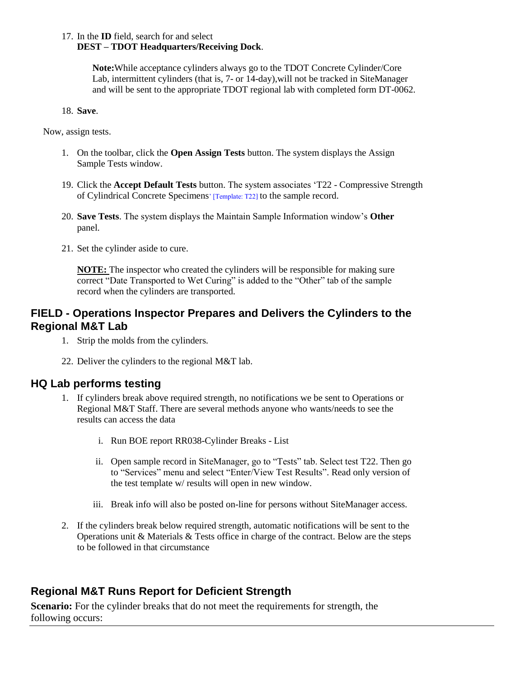#### 17. In the **ID** field, search for and select **DEST – TDOT Headquarters/Receiving Dock**.

**Note:**While acceptance cylinders always go to the TDOT Concrete Cylinder/Core Lab, intermittent cylinders (that is, 7- or 14-day),will not be tracked in SiteManager and will be sent to the appropriate TDOT regional lab with completed form DT-0062.

#### 18. **Save**.

Now, assign tests.

- 1. On the toolbar, click the **Open Assign Tests** button. The system displays the Assign Sample Tests window.
- 19. Click the **Accept Default Tests** button. The system associates 'T22 Compressive Strength of Cylindrical Concrete Specimens' [Template: T22] to the sample record.
- 20. **Save Tests**. The system displays the Maintain Sample Information window's **Other** panel.
- 21. Set the cylinder aside to cure.

**NOTE:** The inspector who created the cylinders will be responsible for making sure correct "Date Transported to Wet Curing" is added to the "Other" tab of the sample record when the cylinders are transported.

## **FIELD - Operations Inspector Prepares and Delivers the Cylinders to the Regional M&T Lab**

- 1. Strip the molds from the cylinders.
- 22. Deliver the cylinders to the regional M&T lab.

### **HQ Lab performs testing**

- 1. If cylinders break above required strength, no notifications we be sent to Operations or Regional M&T Staff. There are several methods anyone who wants/needs to see the results can access the data
	- i. Run BOE report RR038-Cylinder Breaks List
	- ii. Open sample record in SiteManager, go to "Tests" tab. Select test T22. Then go to "Services" menu and select "Enter/View Test Results". Read only version of the test template w/ results will open in new window.
	- iii. Break info will also be posted on-line for persons without SiteManager access.
- 2. If the cylinders break below required strength, automatic notifications will be sent to the Operations unit & Materials & Tests office in charge of the contract. Below are the steps to be followed in that circumstance

# **Regional M&T Runs Report for Deficient Strength**

**Scenario:** For the cylinder breaks that do not meet the requirements for strength, the following occurs: